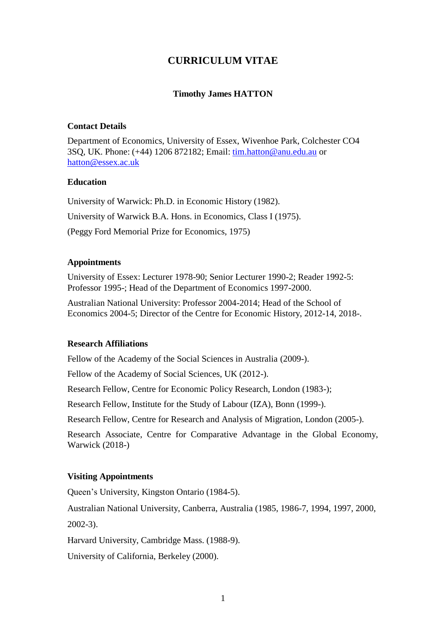# **CURRICULUM VITAE**

## **Timothy James HATTON**

#### **Contact Details**

Department of Economics, University of Essex, Wivenhoe Park, Colchester CO4 3SQ, UK. Phone: (+44) 1206 872182; Email: [tim.hatton@anu.edu.au](mailto:tim.hatton@anu.edu.au) or [hatton@essex.ac.uk](mailto:hatton@essex.ac.uk)

#### **Education**

University of Warwick: Ph.D. in Economic History (1982). University of Warwick B.A. Hons. in Economics, Class I (1975). (Peggy Ford Memorial Prize for Economics, 1975)

#### **Appointments**

University of Essex: Lecturer 1978-90; Senior Lecturer 1990-2; Reader 1992-5: Professor 1995-; Head of the Department of Economics 1997-2000.

Australian National University: Professor 2004-2014; Head of the School of Economics 2004-5; Director of the Centre for Economic History, 2012-14, 2018-.

## **Research Affiliations**

Fellow of the Academy of the Social Sciences in Australia (2009-).

Fellow of the Academy of Social Sciences, UK (2012-).

Research Fellow, Centre for Economic Policy Research, London (1983-);

Research Fellow, Institute for the Study of Labour (IZA), Bonn (1999-).

Research Fellow, Centre for Research and Analysis of Migration, London (2005-).

Research Associate, Centre for Comparative Advantage in the Global Economy, Warwick (2018-)

## **Visiting Appointments**

Queen's University, Kingston Ontario (1984-5).

Australian National University, Canberra, Australia (1985, 1986-7, 1994, 1997, 2000,

2002-3).

Harvard University, Cambridge Mass. (1988-9).

University of California, Berkeley (2000).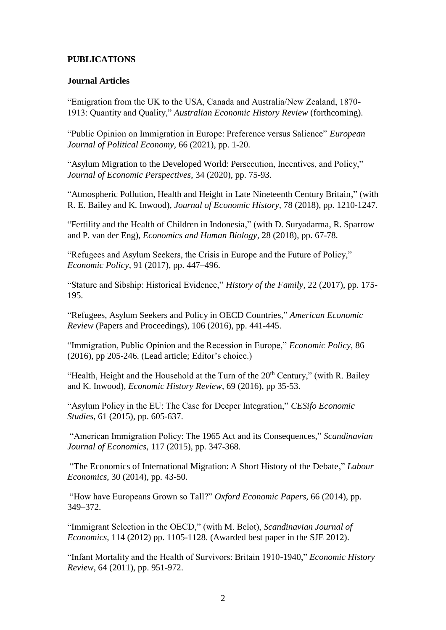## **PUBLICATIONS**

## **Journal Articles**

"Emigration from the UK to the USA, Canada and Australia/New Zealand, 1870- 1913: Quantity and Quality," *Australian Economic History Review* (forthcoming).

"Public Opinion on Immigration in Europe: Preference versus Salience" *European Journal of Political Economy,* 66 (2021), pp. 1-20.

"Asylum Migration to the Developed World: Persecution, Incentives, and Policy," *Journal of Economic Perspectives*, 34 (2020), pp. 75-93.

"Atmospheric Pollution, Health and Height in Late Nineteenth Century Britain," (with R. E. Bailey and K. Inwood), *Journal of Economic History,* 78 (2018), pp. 1210-1247.

"Fertility and the Health of Children in Indonesia," (with D. Suryadarma, R. Sparrow and P. van der Eng), *Economics and Human Biology,* 28 (2018), pp. 67-78.

"Refugees and Asylum Seekers, the Crisis in Europe and the Future of Policy," *Economic Policy*, 91 (2017), pp. 447–496.

"Stature and Sibship: Historical Evidence," *History of the Family,* 22 (2017), pp. 175- 195.

"Refugees, Asylum Seekers and Policy in OECD Countries," *American Economic Review* (Papers and Proceedings), 106 (2016), pp. 441-445.

"Immigration, Public Opinion and the Recession in Europe," *Economic Policy,* 86 (2016), pp 205-246. (Lead article; Editor's choice.)

"Health, Height and the Household at the Turn of the  $20<sup>th</sup>$  Century," (with R. Bailey and K. Inwood), *Economic History Review*, 69 (2016), pp 35-53.

"Asylum Policy in the EU: The Case for Deeper Integration," *CESifo Economic Studies*, 61 (2015), pp. 605-637.

"American Immigration Policy: The 1965 Act and its Consequences," *Scandinavian Journal of Economics,* 117 (2015), pp. 347-368.

"The Economics of International Migration: A Short History of the Debate," *Labour Economics*, 30 (2014), pp. 43-50.

"How have Europeans Grown so Tall?" *Oxford Economic Papers*, 66 (2014), pp. 349–372.

"Immigrant Selection in the OECD," (with M. Belot), *Scandinavian Journal of Economics*, 114 (2012) pp. 1105-1128. (Awarded best paper in the SJE 2012).

"Infant Mortality and the Health of Survivors: Britain 1910-1940," *Economic History Review*, 64 (2011), pp. 951-972.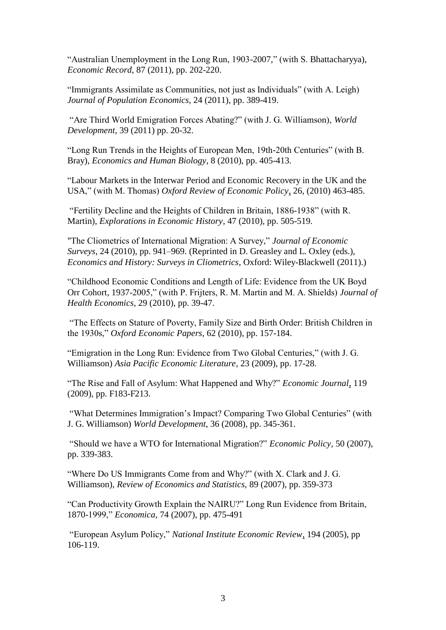"Australian Unemployment in the Long Run, 1903-2007," (with S. Bhattacharyya), *Economic Record*, 87 (2011), pp. 202-220.

"Immigrants Assimilate as Communities, not just as Individuals" (with A. Leigh) *Journal of Population Economics,* 24 (2011), pp. 389-419.

"Are Third World Emigration Forces Abating?" (with J. G. Williamson), *World Development*, 39 (2011) pp. 20-32.

"Long Run Trends in the Heights of European Men, 19th-20th Centuries" (with B. Bray), *Economics and Human Biology*, 8 (2010), pp. 405-413.

"Labour Markets in the Interwar Period and Economic Recovery in the UK and the USA," (with M. Thomas) *Oxford Review of Economic Policy*, 26, (2010) 463-485.

"Fertility Decline and the Heights of Children in Britain, 1886-1938" (with R. Martin), *Explorations in Economic History*, 47 (2010), pp. 505-519.

"The Cliometrics of International Migration: A Survey," *Journal of Economic Surveys*, 24 (2010), pp. 941–969. (Reprinted in D. Greasley and L. Oxley (eds.), *Economics and History: Surveys in Cliometrics*, Oxford: Wiley-Blackwell (2011).)

"Childhood Economic Conditions and Length of Life: Evidence from the UK Boyd Orr Cohort, 1937-2005," (with P. Frijters, R. M. Martin and M. A. Shields) *Journal of Health Economics,* 29 (2010), pp. 39-47.

"The Effects on Stature of Poverty, Family Size and Birth Order: British Children in the 1930s," *Oxford Economic Papers,* 62 (2010), pp. 157-184.

"Emigration in the Long Run: Evidence from Two Global Centuries," (with J. G. Williamson) *Asia Pacific Economic Literature*, 23 (2009), pp. 17-28.

"The Rise and Fall of Asylum: What Happened and Why?" *Economic Journal*, 119 (2009), pp. F183-F213.

"What Determines Immigration's Impact? Comparing Two Global Centuries" (with J. G. Williamson) *World Development*, 36 (2008), pp. 345-361.

"Should we have a WTO for International Migration?" *Economic Policy*, 50 (2007), pp. 339-383.

"Where Do US Immigrants Come from and Why?" (with X. Clark and J. G. Williamson), *Review of Economics and Statistics,* 89 (2007), pp. 359-373

"Can Productivity Growth Explain the NAIRU?" Long Run Evidence from Britain, 1870-1999," *Economica*, 74 (2007), pp. 475-491

"European Asylum Policy," *National Institute Economic Review*, 194 (2005), pp 106-119.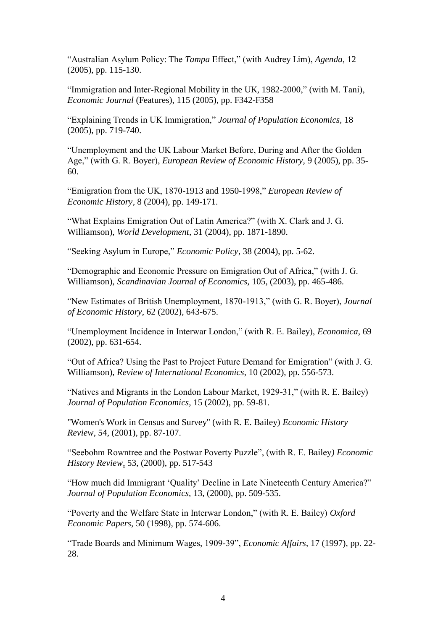"Australian Asylum Policy: The *Tampa* Effect," (with Audrey Lim), *Agenda,* 12 (2005), pp. 115-130.

"Immigration and Inter-Regional Mobility in the UK, 1982-2000," (with M. Tani), *Economic Journal* (Features), 115 (2005), pp. F342-F358

"Explaining Trends in UK Immigration," *Journal of Population Economics,* 18 (2005), pp. 719-740.

"Unemployment and the UK Labour Market Before, During and After the Golden Age," (with G. R. Boyer), *European Review of Economic History,* 9 (2005), pp. 35- 60.

"Emigration from the UK, 1870-1913 and 1950-1998," *European Review of Economic History,* 8 (2004), pp. 149-171.

"What Explains Emigration Out of Latin America?" (with X. Clark and J. G. Williamson), *World Development*, 31 (2004), pp. 1871-1890.

"Seeking Asylum in Europe," *Economic Policy*, 38 (2004), pp. 5-62.

"Demographic and Economic Pressure on Emigration Out of Africa," (with J. G. Williamson), *Scandinavian Journal of Economics,* 105, (2003), pp. 465-486.

"New Estimates of British Unemployment, 1870-1913," (with G. R. Boyer), *Journal of Economic History*, 62 (2002), 643-675.

"Unemployment Incidence in Interwar London," (with R. E. Bailey), *Economica*, 69 (2002), pp. 631-654.

"Out of Africa? Using the Past to Project Future Demand for Emigration" (with J. G. Williamson), *Review of International Economics*, 10 (2002), pp. 556-573.

"Natives and Migrants in the London Labour Market, 1929-31," (with R. E. Bailey) *Journal of Population Economics*, 15 (2002), pp. 59-81.

"Women's Work in Census and Survey" (with R. E. Bailey) *Economic History Review*, 54, (2001), pp. 87-107.

"Seebohm Rowntree and the Postwar Poverty Puzzle", (with R. E. Bailey*) Economic History Review*, 53, (2000), pp. 517-543

"How much did Immigrant 'Quality' Decline in Late Nineteenth Century America?" *Journal of Population Economics,* 13, (2000), pp. 509-535.

"Poverty and the Welfare State in Interwar London," (with R. E. Bailey) *Oxford Economic Papers,* 50 (1998), pp. 574-606.

"Trade Boards and Minimum Wages, 1909-39", *Economic Affairs*, 17 (1997), pp. 22- 28.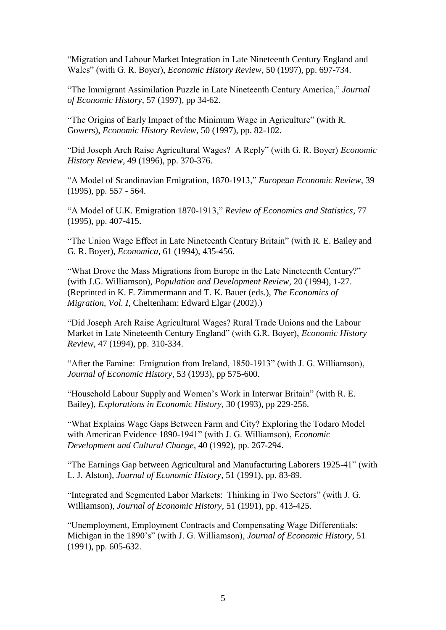"Migration and Labour Market Integration in Late Nineteenth Century England and Wales" (with G. R. Boyer), *Economic History Review*, 50 (1997), pp. 697-734.

"The Immigrant Assimilation Puzzle in Late Nineteenth Century America," *Journal of Economic History*, 57 (1997), pp 34-62.

"The Origins of Early Impact of the Minimum Wage in Agriculture" (with R. Gowers), *Economic History Review*, 50 (1997), pp. 82-102.

"Did Joseph Arch Raise Agricultural Wages? A Reply" (with G. R. Boyer) *Economic History Review*, 49 (1996), pp. 370-376.

"A Model of Scandinavian Emigration, 1870-1913," *European Economic Review*, 39 (1995), pp. 557 - 564.

"A Model of U.K. Emigration 1870-1913," *Review of Economics and Statistics*, 77 (1995), pp. 407-415.

"The Union Wage Effect in Late Nineteenth Century Britain" (with R. E. Bailey and G. R. Boyer), *Economica*, 61 (1994), 435-456.

"What Drove the Mass Migrations from Europe in the Late Nineteenth Century?" (with J.G. Williamson), *Population and Development Review*, 20 (1994), 1-27. (Reprinted in K. F. Zimmermann and T. K. Bauer (eds.), *The Economics of Migration, Vol. I*, Cheltenham: Edward Elgar (2002).)

"Did Joseph Arch Raise Agricultural Wages? Rural Trade Unions and the Labour Market in Late Nineteenth Century England" (with G.R. Boyer), *Economic History Review,* 47 (1994), pp. 310-334.

"After the Famine: Emigration from Ireland, 1850-1913" (with J. G. Williamson), *Journal of Economic History*, 53 (1993), pp 575-600.

"Household Labour Supply and Women's Work in Interwar Britain" (with R. E. Bailey), *Explorations in Economic History*, 30 (1993), pp 229-256.

"What Explains Wage Gaps Between Farm and City? Exploring the Todaro Model with American Evidence 1890-1941" (with J. G. Williamson), *Economic Development and Cultural Change*, 40 (1992), pp. 267-294.

"The Earnings Gap between Agricultural and Manufacturing Laborers 1925-41" (with L. J. Alston), *Journal of Economic History*, 51 (1991), pp. 83-89.

"Integrated and Segmented Labor Markets: Thinking in Two Sectors" (with J. G. Williamson), *Journal of Economic History*, 51 (1991), pp. 413-425.

"Unemployment, Employment Contracts and Compensating Wage Differentials: Michigan in the 1890's" (with J. G. Williamson), *Journal of Economic History*, 51 (1991), pp. 605-632.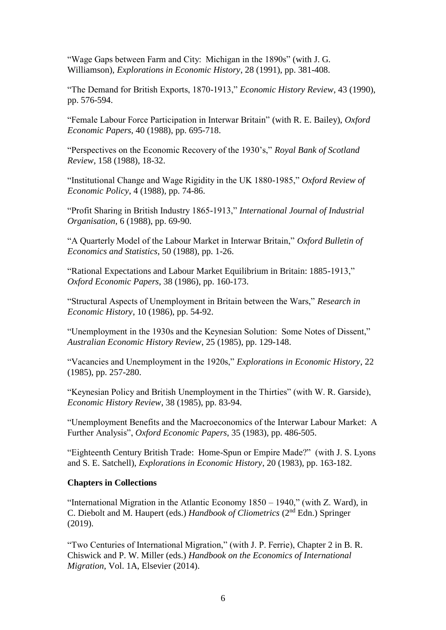"Wage Gaps between Farm and City: Michigan in the 1890s" (with J. G. Williamson), *Explorations in Economic History*, 28 (1991), pp. 381-408.

"The Demand for British Exports, 1870-1913," *Economic History Review*, 43 (1990), pp. 576-594.

"Female Labour Force Participation in Interwar Britain" (with R. E. Bailey), *Oxford Economic Papers*, 40 (1988), pp. 695-718.

"Perspectives on the Economic Recovery of the 1930's," *Royal Bank of Scotland Review*, 158 (1988), 18-32.

"Institutional Change and Wage Rigidity in the UK 1880-1985," *Oxford Review of Economic Policy*, 4 (1988), pp. 74-86.

"Profit Sharing in British Industry 1865-1913," *International Journal of Industrial Organisation*, 6 (1988), pp. 69-90.

"A Quarterly Model of the Labour Market in Interwar Britain," *Oxford Bulletin of Economics and Statistics*, 50 (1988), pp. 1-26.

"Rational Expectations and Labour Market Equilibrium in Britain: 1885-1913," *Oxford Economic Papers*, 38 (1986), pp. 160-173.

"Structural Aspects of Unemployment in Britain between the Wars," *Research in Economic History*, 10 (1986), pp. 54-92.

"Unemployment in the 1930s and the Keynesian Solution: Some Notes of Dissent," *Australian Economic History Review*, 25 (1985), pp. 129-148.

"Vacancies and Unemployment in the 1920s," *Explorations in Economic History*, 22 (1985), pp. 257-280.

"Keynesian Policy and British Unemployment in the Thirties" (with W. R. Garside), *Economic History Review*, 38 (1985), pp. 83-94.

"Unemployment Benefits and the Macroeconomics of the Interwar Labour Market: A Further Analysis", *Oxford Economic Papers*, 35 (1983), pp. 486-505.

"Eighteenth Century British Trade: Home-Spun or Empire Made?" (with J. S. Lyons and S. E. Satchell), *Explorations in Economic History*, 20 (1983), pp. 163-182.

#### **Chapters in Collections**

"International Migration in the Atlantic Economy 1850 – 1940," (with Z. Ward), in C. Diebolt and M. Haupert (eds.) *Handbook of Cliometrics* (2nd Edn.) Springer (2019).

"Two Centuries of International Migration," (with J. P. Ferrie), Chapter 2 in B. R. Chiswick and P. W. Miller (eds.) *Handbook on the Economics of International Migration*, Vol. 1A, Elsevier (2014).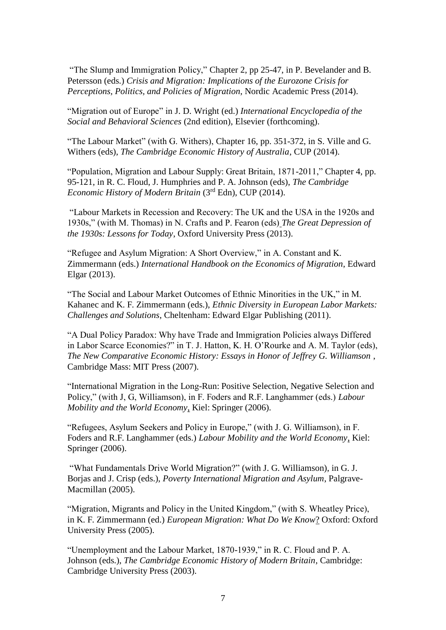"The Slump and Immigration Policy," Chapter 2, pp 25-47, in P. Bevelander and B. Petersson (eds.) *Crisis and Migration: Implications of the Eurozone Crisis for Perceptions, Politics, and Policies of Migration*, Nordic Academic Press (2014).

"Migration out of Europe" in J. D. Wright (ed.) *International Encyclopedia of the Social and Behavioral Sciences* (2nd edition), Elsevier (forthcoming).

"The Labour Market" (with G. Withers), Chapter 16, pp. 351-372, in S. Ville and G. Withers (eds), *The Cambridge Economic History of Australia*, CUP (2014).

"Population, Migration and Labour Supply: Great Britain, 1871-2011," Chapter 4, pp. 95-121, in R. C. Floud, J. Humphries and P. A. Johnson (eds), *The Cambridge Economic History of Modern Britain* (3<sup>rd</sup> Edn), CUP (2014).

"Labour Markets in Recession and Recovery: The UK and the USA in the 1920s and 1930s," (with M. Thomas) in N. Crafts and P. Fearon (eds) *The Great Depression of the 1930s: Lessons for Today*, Oxford University Press (2013).

"Refugee and Asylum Migration: A Short Overview," in A. Constant and K. Zimmermann (eds.) *International Handbook on the Economics of Migration*, Edward Elgar (2013).

"The Social and Labour Market Outcomes of Ethnic Minorities in the UK," in M. Kahanec and K. F. Zimmermann (eds.), *Ethnic Diversity in European Labor Markets: Challenges and Solutions*, Cheltenham: Edward Elgar Publishing (2011).

"A Dual Policy Paradox: Why have Trade and Immigration Policies always Differed in Labor Scarce Economies?" in T. J. Hatton, K. H. O'Rourke and A. M. Taylor (eds), *The New Comparative Economic History: Essays in Honor of Jeffrey G. Williamson* , Cambridge Mass: MIT Press (2007).

"International Migration in the Long-Run: Positive Selection, Negative Selection and Policy," (with J, G, Williamson), in F. Foders and R.F. Langhammer (eds.) *Labour Mobility and the World Economy*, Kiel: Springer (2006).

"Refugees, Asylum Seekers and Policy in Europe," (with J. G. Williamson), in F. Foders and R.F. Langhammer (eds.) *Labour Mobility and the World Economy*, Kiel: Springer (2006).

"What Fundamentals Drive World Migration?" (with J. G. Williamson), in G. J. Borjas and J. Crisp (eds.), *Poverty International Migration and Asylum*, Palgrave-Macmillan (2005).

"Migration, Migrants and Policy in the United Kingdom," (with S. Wheatley Price), in K. F. Zimmermann (ed.) *European Migration: What Do We Know*? Oxford: Oxford University Press (2005).

"Unemployment and the Labour Market, 1870-1939," in R. C. Floud and P. A. Johnson (eds.), *The Cambridge Economic History of Modern Britain*, Cambridge: Cambridge University Press (2003).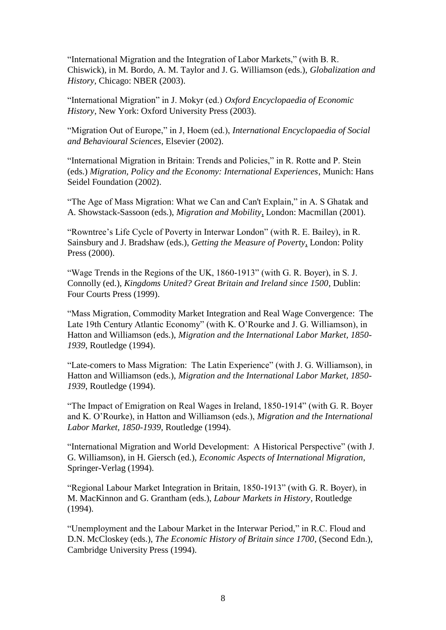"International Migration and the Integration of Labor Markets," (with B. R. Chiswick), in M. Bordo, A. M. Taylor and J. G. Williamson (eds.), *Globalization and History,* Chicago: NBER (2003).

"International Migration" in J. Mokyr (ed.) *Oxford Encyclopaedia of Economic History*, New York: Oxford University Press (2003).

"Migration Out of Europe," in J, Hoem (ed.), *International Encyclopaedia of Social and Behavioural Sciences*, Elsevier (2002).

"International Migration in Britain: Trends and Policies," in R. Rotte and P. Stein (eds.) *Migration, Policy and the Economy: International Experiences*, Munich: Hans Seidel Foundation (2002).

"The Age of Mass Migration: What we Can and Can't Explain," in A. S Ghatak and A. Showstack-Sassoon (eds.), *Migration and Mobility*, London: Macmillan (2001).

"Rowntree's Life Cycle of Poverty in Interwar London" (with R. E. Bailey), in R. Sainsbury and J. Bradshaw (eds.), *Getting the Measure of Poverty*, London: Polity Press (2000).

"Wage Trends in the Regions of the UK, 1860-1913" (with G. R. Boyer), in S. J. Connolly (ed.), *Kingdoms United? Great Britain and Ireland since 1500*, Dublin: Four Courts Press (1999).

"Mass Migration, Commodity Market Integration and Real Wage Convergence: The Late 19th Century Atlantic Economy" (with K. O'Rourke and J. G. Williamson), in Hatton and Williamson (eds.), *Migration and the International Labor Market, 1850- 1939*, Routledge (1994).

"Late-comers to Mass Migration: The Latin Experience" (with J. G. Williamson), in Hatton and Williamson (eds.), *Migration and the International Labor Market, 1850- 1939*, Routledge (1994).

"The Impact of Emigration on Real Wages in Ireland, 1850-1914" (with G. R. Boyer and K. O'Rourke), in Hatton and Williamson (eds.), *Migration and the International Labor Market, 1850-1939*, Routledge (1994).

"International Migration and World Development: A Historical Perspective" (with J. G. Williamson), in H. Giersch (ed.), *Economic Aspects of International Migration*, Springer-Verlag (1994).

"Regional Labour Market Integration in Britain, 1850-1913" (with G. R. Boyer), in M. MacKinnon and G. Grantham (eds.), *Labour Markets in History*, Routledge (1994).

"Unemployment and the Labour Market in the Interwar Period," in R.C. Floud and D.N. McCloskey (eds.), *The Economic History of Britain since 1700*, (Second Edn.), Cambridge University Press (1994).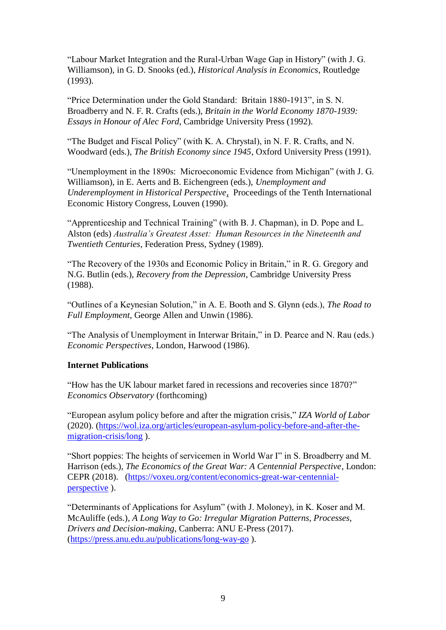"Labour Market Integration and the Rural-Urban Wage Gap in History" (with J. G. Williamson), in G. D. Snooks (ed.), *Historical Analysis in Economics*, Routledge (1993).

"Price Determination under the Gold Standard: Britain 1880-1913", in S. N. Broadberry and N. F. R. Crafts (eds.), *Britain in the World Economy 1870-1939: Essays in Honour of Alec Ford*, Cambridge University Press (1992).

"The Budget and Fiscal Policy" (with K. A. Chrystal), in N. F. R. Crafts, and N. Woodward (eds.), *The British Economy since 1945*, Oxford University Press (1991).

"Unemployment in the 1890s: Microeconomic Evidence from Michigan" (with J. G. Williamson), in E. Aerts and B. Eichengreen (eds.), *Unemployment and Underemployment in Historical Perspective*, Proceedings of the Tenth International Economic History Congress, Louven (1990).

"Apprenticeship and Technical Training" (with B. J. Chapman), in D. Pope and L. Alston (eds) *Australia's Greatest Asset: Human Resources in the Nineteenth and Twentieth Centuries*, Federation Press, Sydney (1989).

"The Recovery of the 1930s and Economic Policy in Britain," in R. G. Gregory and N.G. Butlin (eds.), *Recovery from the Depression*, Cambridge University Press (1988).

"Outlines of a Keynesian Solution," in A. E. Booth and S. Glynn (eds.), *The Road to Full Employment*, George Allen and Unwin (1986).

"The Analysis of Unemployment in Interwar Britain," in D. Pearce and N. Rau (eds.) *Economic Perspectives*, London, Harwood (1986).

## **Internet Publications**

"How has the UK labour market fared in recessions and recoveries since 1870?" *Economics Observatory* (forthcoming)

"European asylum policy before and after the migration crisis," *IZA World of Labor* (2020). [\(https://wol.iza.org/articles/european-asylum-policy-before-and-after-the](https://wol.iza.org/articles/european-asylum-policy-before-and-after-the-migration-crisis/long)[migration-crisis/long](https://wol.iza.org/articles/european-asylum-policy-before-and-after-the-migration-crisis/long) ).

"Short poppies: The heights of servicemen in World War I" in S. Broadberry and M. Harrison (eds.)*, The Economics of the Great War: A Centennial Perspective*, London: CEPR (2018). [\(https://voxeu.org/content/economics-great-war-centennial](https://voxeu.org/content/economics-great-war-centennial-perspective)[perspective](https://voxeu.org/content/economics-great-war-centennial-perspective) ).

"Determinants of Applications for Asylum" (with J. Moloney), in K. Koser and M. McAuliffe (eds.), *A Long Way to Go: Irregular Migration Patterns, Processes, Drivers and Decision-making,* Canberra: ANU E-Press (2017). [\(https://press.anu.edu.au/publications/long-way-go](https://press.anu.edu.au/publications/long-way-go) ).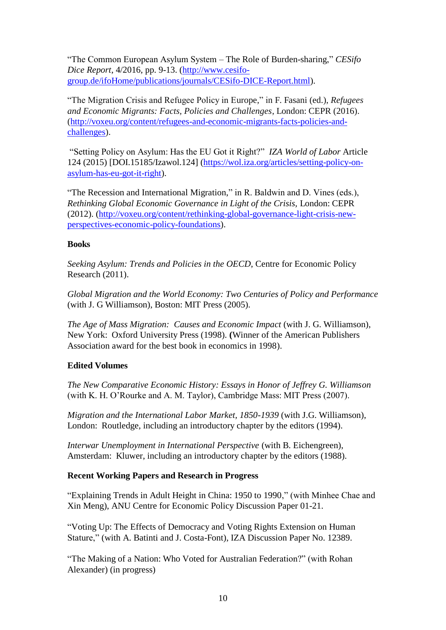"The Common European Asylum System – The Role of Burden-sharing," *CESifo Dice Report*, 4/2016, pp. 9-13. [\(http://www.cesifo](http://www.cesifo-group.de/ifoHome/publications/journals/CESifo-DICE-Report.html)[group.de/ifoHome/publications/journals/CESifo-DICE-Report.html\)](http://www.cesifo-group.de/ifoHome/publications/journals/CESifo-DICE-Report.html).

"The Migration Crisis and Refugee Policy in Europe," in F. Fasani (ed.), *Refugees and Economic Migrants: Facts, Policies and Challenges*, London: CEPR (2016). [\(http://voxeu.org/content/refugees-and-economic-migrants-facts-policies-and](http://voxeu.org/content/refugees-and-economic-migrants-facts-policies-and-challenges)[challenges\)](http://voxeu.org/content/refugees-and-economic-migrants-facts-policies-and-challenges).

"Setting Policy on Asylum: Has the EU Got it Right?" *IZA World of Labor* Article 124 (2015) [DOI.15185/Izawol.124] [\(https://wol.iza.org/articles/setting-policy-on](https://wol.iza.org/articles/setting-policy-on-asylum-has-eu-got-it-right)[asylum-has-eu-got-it-right\)](https://wol.iza.org/articles/setting-policy-on-asylum-has-eu-got-it-right).

"The Recession and International Migration," in R. Baldwin and D. Vines (eds.), *Rethinking Global Economic Governance in Light of the Crisis,* London: CEPR (2012). [\(http://voxeu.org/content/rethinking-global-governance-light-crisis-new](http://voxeu.org/content/rethinking-global-governance-light-crisis-new-perspectives-economic-policy-foundations)[perspectives-economic-policy-foundations\)](http://voxeu.org/content/rethinking-global-governance-light-crisis-new-perspectives-economic-policy-foundations).

## **Books**

*Seeking Asylum: Trends and Policies in the OECD*, Centre for Economic Policy Research (2011).

*Global Migration and the World Economy: Two Centuries of Policy and Performance* (with J. G Williamson), Boston: MIT Press (2005).

*The Age of Mass Migration: Causes and Economic Impact* (with J. G. Williamson), New York: Oxford University Press (1998). **(**Winner of the American Publishers Association award for the best book in economics in 1998).

## **Edited Volumes**

*The New Comparative Economic History: Essays in Honor of Jeffrey G. Williamson* (with K. H. O'Rourke and A. M. Taylor), Cambridge Mass: MIT Press (2007).

*Migration and the International Labor Market, 1850-1939* (with J.G. Williamson), London: Routledge, including an introductory chapter by the editors (1994).

*Interwar Unemployment in International Perspective* (with B. Eichengreen), Amsterdam: Kluwer, including an introductory chapter by the editors (1988).

## **Recent Working Papers and Research in Progress**

"Explaining Trends in Adult Height in China: 1950 to 1990," (with Minhee Chae and Xin Meng), ANU Centre for Economic Policy Discussion Paper 01-21.

"Voting Up: The Effects of Democracy and Voting Rights Extension on Human Stature," (with A. Batinti and J. Costa-Font), IZA Discussion Paper No. 12389.

"The Making of a Nation: Who Voted for Australian Federation?" (with Rohan Alexander) (in progress)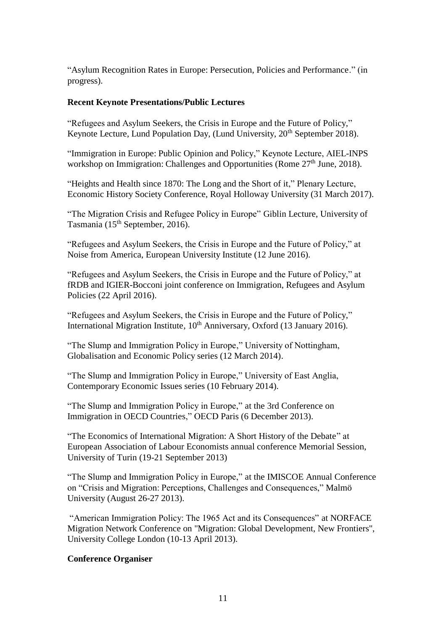"Asylum Recognition Rates in Europe: Persecution, Policies and Performance." (in progress).

## **Recent Keynote Presentations/Public Lectures**

"Refugees and Asylum Seekers, the Crisis in Europe and the Future of Policy," Keynote Lecture, Lund Population Day, (Lund University,  $20<sup>th</sup>$  September 2018).

"Immigration in Europe: Public Opinion and Policy," Keynote Lecture, AIEL-INPS workshop on Immigration: Challenges and Opportunities (Rome  $27<sup>th</sup>$  June, 2018).

"Heights and Health since 1870: The Long and the Short of it," Plenary Lecture, Economic History Society Conference, Royal Holloway University (31 March 2017).

"The Migration Crisis and Refugee Policy in Europe" Giblin Lecture, University of Tasmania (15th September, 2016).

"Refugees and Asylum Seekers, the Crisis in Europe and the Future of Policy," at Noise from America, European University Institute (12 June 2016).

"Refugees and Asylum Seekers, the Crisis in Europe and the Future of Policy," at fRDB and IGIER-Bocconi joint conference on Immigration, Refugees and Asylum Policies (22 April 2016).

"Refugees and Asylum Seekers, the Crisis in Europe and the Future of Policy," International Migration Institute,  $10^{th}$  Anniversary, Oxford (13 January 2016).

"The Slump and Immigration Policy in Europe," University of Nottingham, Globalisation and Economic Policy series (12 March 2014).

"The Slump and Immigration Policy in Europe," University of East Anglia, Contemporary Economic Issues series (10 February 2014).

"The Slump and Immigration Policy in Europe," at the 3rd Conference on Immigration in OECD Countries," OECD Paris (6 December 2013).

"The Economics of International Migration: A Short History of the Debate" at European Association of Labour Economists annual conference Memorial Session, University of Turin (19-21 September 2013)

"The Slump and Immigration Policy in Europe," at the IMISCOE Annual Conference on "Crisis and Migration: Perceptions, Challenges and Consequences," Malmö University (August 26-27 2013).

"American Immigration Policy: The 1965 Act and its Consequences" at NORFACE Migration Network Conference on "Migration: Global Development, New Frontiers", University College London (10-13 April 2013).

## **Conference Organiser**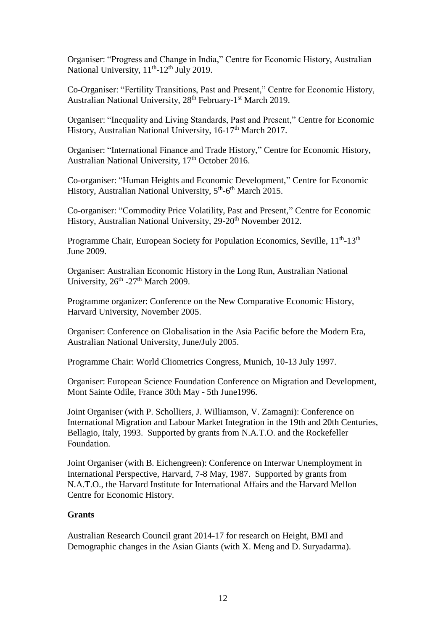Organiser: "Progress and Change in India," Centre for Economic History, Australian National University,  $11<sup>th</sup> - 12<sup>th</sup>$  July 2019.

Co-Organiser: "Fertility Transitions, Past and Present," Centre for Economic History, Australian National University, 28<sup>th</sup> February-1<sup>st</sup> March 2019.

Organiser: "Inequality and Living Standards, Past and Present," Centre for Economic History, Australian National University, 16-17<sup>th</sup> March 2017.

Organiser: "International Finance and Trade History," Centre for Economic History, Australian National University, 17<sup>th</sup> October 2016.

Co-organiser: "Human Heights and Economic Development," Centre for Economic History, Australian National University, 5<sup>th</sup>-6<sup>th</sup> March 2015.

Co-organiser: "Commodity Price Volatility, Past and Present," Centre for Economic History, Australian National University, 29-20<sup>th</sup> November 2012.

Programme Chair, European Society for Population Economics, Seville, 11<sup>th</sup>-13<sup>th</sup> June 2009.

Organiser: Australian Economic History in the Long Run, Australian National University, 26<sup>th</sup> -27<sup>th</sup> March 2009.

Programme organizer: Conference on the New Comparative Economic History, Harvard University, November 2005.

Organiser: Conference on Globalisation in the Asia Pacific before the Modern Era, Australian National University, June/July 2005.

Programme Chair: World Cliometrics Congress, Munich, 10-13 July 1997.

Organiser: European Science Foundation Conference on Migration and Development, Mont Sainte Odile, France 30th May - 5th June1996.

Joint Organiser (with P. Scholliers, J. Williamson, V. Zamagni): Conference on International Migration and Labour Market Integration in the 19th and 20th Centuries, Bellagio, Italy, 1993. Supported by grants from N.A.T.O. and the Rockefeller Foundation.

Joint Organiser (with B. Eichengreen): Conference on Interwar Unemployment in International Perspective, Harvard, 7-8 May, 1987. Supported by grants from N.A.T.O., the Harvard Institute for International Affairs and the Harvard Mellon Centre for Economic History.

## **Grants**

Australian Research Council grant 2014-17 for research on Height, BMI and Demographic changes in the Asian Giants (with X. Meng and D. Suryadarma).